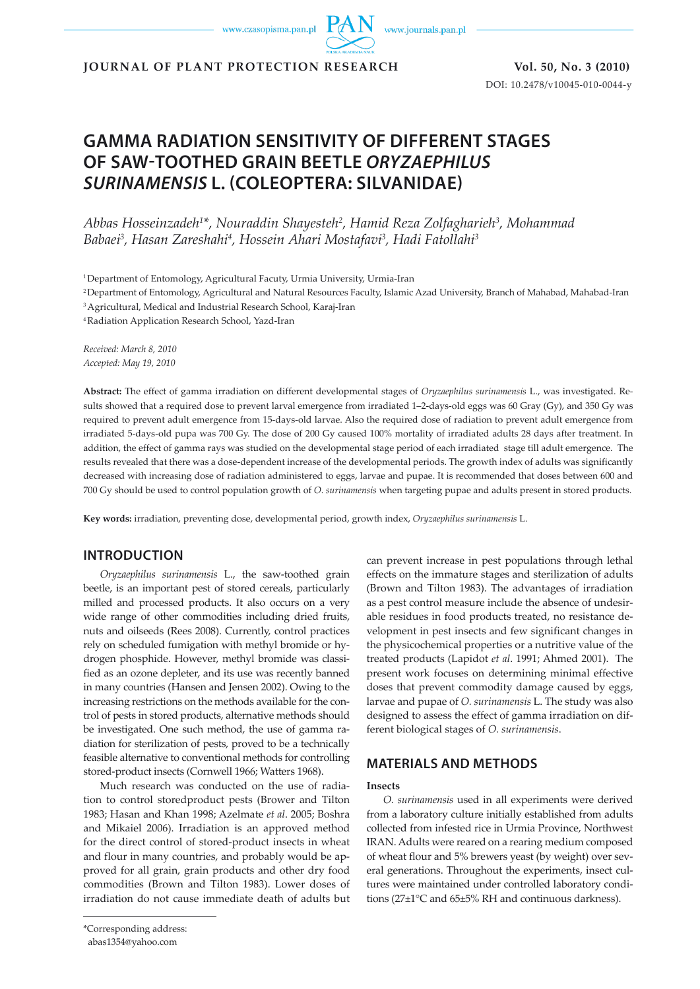www.czasopisma.pan.pl

www.journals.pan.pl

**JOURNAL OF PLANT PROTECTION RESEARCH Vol. 50, No. 3 (2010)**

DOI: 10.2478/v10045-010-0044-y

# **GAMMA RADIATION SENSITIVITY OF DIFFERENT STAGES OF SAW-TOOTHED GRAIN BEETLE** *ORYZAEPHILUS SURINAMENSIS* **L. (COLEOPTERA: SILVANIDAE)**

*Abbas Hosseinzadeh1 \*, Nouraddin Shayesteh2 , Hamid Reza Zolfagharieh3 , Mohammad Babaei3 , Hasan Zareshahi4 , Hossein Ahari Mostafavi3 , Hadi Fatollahi3*

<sup>1</sup> Department of Entomology, Agricultural Facuty, Urmia University, Urmia-Iran

2 Department of Entomology, Agricultural and Natural Resources Faculty, Islamic Azad University, Branch of Mahabad, Mahabad-Iran

3 Agricultural, Medical and Industrial Research School, Karaj-Iran

4 Radiation Application Research School, Yazd-Iran

*Received: March 8, 2010 Accepted: May 19, 2010*

**Abstract:** The effect of gamma irradiation on different developmental stages of *Oryzaephilus surinamensis* L., was investigated. Results showed that a required dose to prevent larval emergence from irradiated 1–2-days-old eggs was 60 Gray (Gy), and 350 Gy was required to prevent adult emergence from 15-days-old larvae. Also the required dose of radiation to prevent adult emergence from irradiated 5-days-old pupa was 700 Gy. The dose of 200 Gy caused 100% mortality of irradiated adults 28 days after treatment. In addition, the effect of gamma rays was studied on the developmental stage period of each irradiated stage till adult emergence. The results revealed that there was a dose-dependent increase of the developmental periods. The growth index of adults was significantly decreased with increasing dose of radiation administered to eggs, larvae and pupae. It is recommended that doses between 600 and 700 Gy should be used to control population growth of *O. surinamensis* when targeting pupae and adults present in stored products.

**Key words:** irradiation, preventing dose, developmental period, growth index, *Oryzaephilus surinamensis* L.

### **INTRODUCTION**

*Oryzaephilus surinamensis* L., the saw-toothed grain beetle, is an important pest of stored cereals, particularly milled and processed products. It also occurs on a very wide range of other commodities including dried fruits, nuts and oilseeds (Rees 2008). Currently, control practices rely on scheduled fumigation with methyl bromide or hydrogen phosphide. However, methyl bromide was classified as an ozone depleter, and its use was recently banned in many countries (Hansen and Jensen 2002). Owing to the increasing restrictions on the methods available for the control of pests in stored products, alternative methods should be investigated. One such method, the use of gamma radiation for sterilization of pests, proved to be a technically feasible alternative to conventional methods for controlling stored-product insects (Cornwell 1966; Watters 1968).

Much research was conducted on the use of radiation to control storedproduct pests (Brower and Tilton 1983; Hasan and Khan 1998; Azelmate *et al*. 2005; Boshra and Mikaiel 2006). Irradiation is an approved method for the direct control of stored-product insects in wheat and flour in many countries, and probably would be approved for all grain, grain products and other dry food commodities (Brown and Tilton 1983). Lower doses of irradiation do not cause immediate death of adults but

\*Corresponding address:

can prevent increase in pest populations through lethal effects on the immature stages and sterilization of adults (Brown and Tilton 1983). The advantages of irradiation as a pest control measure include the absence of undesirable residues in food products treated, no resistance development in pest insects and few significant changes in the physicochemical properties or a nutritive value of the treated products (Lapidot *et al*. 1991; Ahmed 2001). The present work focuses on determining minimal effective doses that prevent commodity damage caused by eggs, larvae and pupae of *O. surinamensis* L. The study was also designed to assess the effect of gamma irradiation on different biological stages of *O. surinamensis*.

### **MATERIALS AND METHODS**

#### **Insects**

*O. surinamensis* used in all experiments were derived from a laboratory culture initially established from adults collected from infested rice in Urmia Province, Northwest IRAN. Adults were reared on a rearing medium composed of wheat flour and 5% brewers yeast (by weight) over several generations. Throughout the experiments, insect cultures were maintained under controlled laboratory conditions (27±1°C and 65±5% RH and continuous darkness).

abas1354@yahoo.com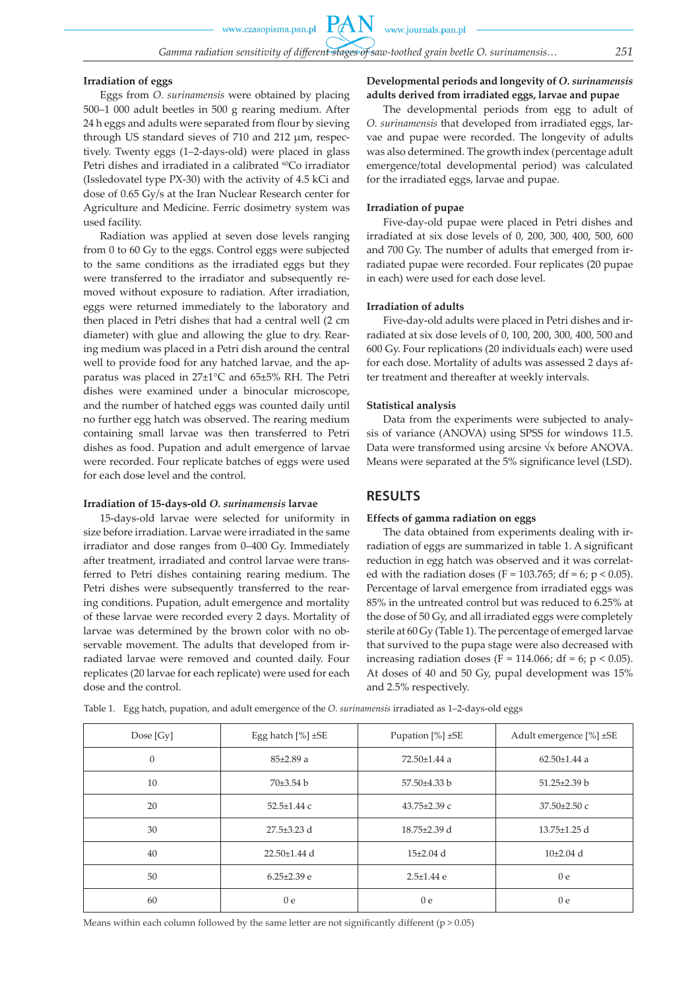www.czasopisma.pan.pl

PA

#### **Irradiation of eggs**

Eggs from *O. surinamensis* were obtained by placing 500–1 000 adult beetles in 500 g rearing medium. After 24 h eggs and adults were separated from flour by sieving through US standard sieves of 710 and 212 µm, respectively. Twenty eggs (1–2-days-old) were placed in glass Petri dishes and irradiated in a calibrated <sup>60</sup>Co irradiator (Issledovatel type PX-30) with the activity of 4.5 kCi and dose of 0.65 Gy/s at the Iran Nuclear Research center for Agriculture and Medicine. Ferric dosimetry system was used facility.

Radiation was applied at seven dose levels ranging from 0 to 60 Gy to the eggs. Control eggs were subjected to the same conditions as the irradiated eggs but they were transferred to the irradiator and subsequently removed without exposure to radiation. After irradiation, eggs were returned immediately to the laboratory and then placed in Petri dishes that had a central well (2 cm diameter) with glue and allowing the glue to dry. Rearing medium was placed in a Petri dish around the central well to provide food for any hatched larvae, and the apparatus was placed in 27±1°C and 65±5% RH. The Petri dishes were examined under a binocular microscope, and the number of hatched eggs was counted daily until no further egg hatch was observed. The rearing medium containing small larvae was then transferred to Petri dishes as food. Pupation and adult emergence of larvae were recorded. Four replicate batches of eggs were used for each dose level and the control.

#### **Irradiation of 15-days-old** *O. surinamensis* **larvae**

15-days-old larvae were selected for uniformity in size before irradiation. Larvae were irradiated in the same irradiator and dose ranges from 0–400 Gy. Immediately after treatment, irradiated and control larvae were transferred to Petri dishes containing rearing medium. The Petri dishes were subsequently transferred to the rearing conditions. Pupation, adult emergence and mortality of these larvae were recorded every 2 days. Mortality of larvae was determined by the brown color with no observable movement. The adults that developed from irradiated larvae were removed and counted daily. Four replicates (20 larvae for each replicate) were used for each dose and the control.

**Developmental periods and longevity of** *O. surinamensis*  **adults derived from irradiated eggs, larvae and pupae** 

The developmental periods from egg to adult of *O. surinamensis* that developed from irradiated eggs, larvae and pupae were recorded. The longevity of adults was also determined. The growth index (percentage adult emergence/total developmental period) was calculated for the irradiated eggs, larvae and pupae.

#### **Irradiation of pupae**

Five-day-old pupae were placed in Petri dishes and irradiated at six dose levels of 0, 200, 300, 400, 500, 600 and 700 Gy. The number of adults that emerged from irradiated pupae were recorded. Four replicates (20 pupae in each) were used for each dose level.

#### **Irradiation of adults**

Five-day-old adults were placed in Petri dishes and irradiated at six dose levels of 0, 100, 200, 300, 400, 500 and 600 Gy. Four replications (20 individuals each) were used for each dose. Mortality of adults was assessed 2 days after treatment and thereafter at weekly intervals.

#### **Statistical analysis**

Data from the experiments were subjected to analysis of variance (ANOVA) using SPSS for windows 11.5. Data were transformed using arcsine √x before ANOVA. Means were separated at the 5% significance level (LSD).

### **RESULTS**

#### **Effects of gamma radiation on eggs**

The data obtained from experiments dealing with irradiation of eggs are summarized in table 1. A significant reduction in egg hatch was observed and it was correlated with the radiation doses (F = 103.765; df = 6; p < 0.05). Percentage of larval emergence from irradiated eggs was 85% in the untreated control but was reduced to 6.25% at the dose of 50 Gy, and all irradiated eggs were completely sterile at 60 Gy (Table 1). The percentage of emerged larvae that survived to the pupa stage were also decreased with increasing radiation doses (F = 114.066; df = 6; p < 0.05). At doses of 40 and 50 Gy, pupal development was 15% and 2.5% respectively.

Table 1. Egg hatch, pupation, and adult emergence of the *O. surinamensis* irradiated as 1–2-days-old eggs

| Dose $[Gy]$  | Egg hatch $[\%] \pm SE$ | Pupation $[\%] \pm SE$ | Adult emergence [%] ±SE |
|--------------|-------------------------|------------------------|-------------------------|
| $\mathbf{0}$ | $85\pm2.89$ a           | $72.50 \pm 1.44$ a     | $62.50 \pm 1.44$ a      |
| 10           | $70\pm3.54$ b           | $57.50\pm4.33$ b       | $51.25 \pm 2.39$ b      |
| 20           | $52.5 \pm 1.44$ c       | $43.75 \pm 2.39$ c     | 37.50±2.50 c            |
| 30           | $27.5 \pm 3.23$ d       | 18.75±2.39 d           | $13.75 \pm 1.25$ d      |
| 40           | $22.50 \pm 1.44$ d      | $15\pm2.04$ d          | $10\pm2.04$ d           |
| 50           | $6.25 \pm 2.39$ e       | $2.5 \pm 1.44$ e       | 0 <sub>e</sub>          |
| 60           | 0 <sub>e</sub>          | 0 <sub>e</sub>         | 0 <sub>e</sub>          |

Means within each column followed by the same letter are not significantly different ( $p > 0.05$ )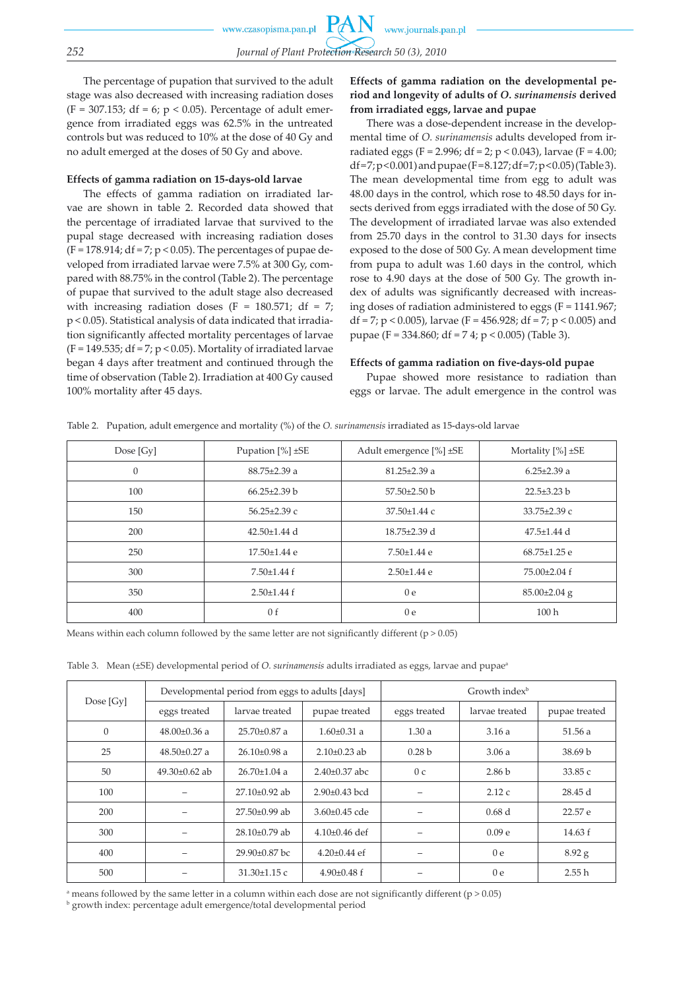The percentage of pupation that survived to the adult stage was also decreased with increasing radiation doses (F = 307.153; df = 6;  $p$  < 0.05). Percentage of adult emergence from irradiated eggs was 62.5% in the untreated controls but was reduced to 10% at the dose of 40 Gy and no adult emerged at the doses of 50 Gy and above.

#### **Effects of gamma radiation on 15-days-old larvae**

The effects of gamma radiation on irradiated larvae are shown in table 2. Recorded data showed that the percentage of irradiated larvae that survived to the pupal stage decreased with increasing radiation doses  $(F = 178.914; df = 7; p < 0.05)$ . The percentages of pupae developed from irradiated larvae were 7.5% at 300 Gy, compared with 88.75% in the control (Table 2). The percentage of pupae that survived to the adult stage also decreased with increasing radiation doses (F =  $180.571$ ; df = 7; p < 0.05). Statistical analysis of data indicated that irradiation significantly affected mortality percentages of larvae  $(F = 149.535; df = 7; p < 0.05)$ . Mortality of irradiated larvae began 4 days after treatment and continued through the time of observation (Table 2). Irradiation at 400 Gy caused 100% mortality after 45 days.

### **Effects of gamma radiation on the developmental period and longevity of adults of** *O. surinamensis* **derived from irradiated eggs, larvae and pupae**

There was a dose-dependent increase in the developmental time of *O. surinamensis* adults developed from irradiated eggs (F = 2.996; df = 2; p < 0.043), larvae (F = 4.00; df = 7; p < 0.001) and pupae (F = 8.127; df = 7; p < 0.05) (Table 3). The mean developmental time from egg to adult was 48.00 days in the control, which rose to 48.50 days for insects derived from eggs irradiated with the dose of 50 Gy. The development of irradiated larvae was also extended from 25.70 days in the control to 31.30 days for insects exposed to the dose of 500 Gy. A mean development time from pupa to adult was 1.60 days in the control, which rose to 4.90 days at the dose of 500 Gy. The growth index of adults was significantly decreased with increasing doses of radiation administered to eggs (F = 1141.967; df = 7; p < 0.005), larvae (F = 456.928; df = 7; p < 0.005) and pupae (F = 334.860; df = 7 4; p < 0.005) (Table 3).

#### **Effects of gamma radiation on five-days-old pupae**

Pupae showed more resistance to radiation than eggs or larvae. The adult emergence in the control was

| Table 2. - Pupation, adult emergence and mortality (%) of the O. surmamensis ifradiated as 15-days-old larvae |                        |                         |                        |  |  |
|---------------------------------------------------------------------------------------------------------------|------------------------|-------------------------|------------------------|--|--|
| Dose $[Gy]$                                                                                                   | Pupation $[\%] \pm SE$ | Adult emergence [%] ±SE | Mortality $[%] \pm SE$ |  |  |
| $\theta$                                                                                                      | $88.75 \pm 2.39$ a     | $81.25 \pm 2.39$ a      | $6.25 \pm 2.39$ a      |  |  |
| 100                                                                                                           | $66.25 \pm 2.39$ b     | $57.50 \pm 2.50$ b      | $22.5 \pm 3.23$ b      |  |  |
| 150                                                                                                           | $56.25 \pm 2.39$ c     | $37.50 \pm 1.44$ c      | $33.75 \pm 2.39$ c     |  |  |
| 200                                                                                                           | $42.50 \pm 1.44$ d     | $18.75 \pm 2.39$ d      | $47.5 \pm 1.44$ d      |  |  |
| 250                                                                                                           | 17.50±1.44 e           | $7.50 \pm 1.44$ e       | $68.75 \pm 1.25$ e     |  |  |
| 300                                                                                                           | $7.50 \pm 1.44$ f      | $2.50 \pm 1.44$ e       | $75.00 \pm 2.04$ f     |  |  |
| 350                                                                                                           | $2.50 \pm 1.44$ f      | 0e                      | $85.00\pm2.04$ g       |  |  |
| 400                                                                                                           | 0 <sub>f</sub>         | 0 e                     | 100 <sub>h</sub>       |  |  |
|                                                                                                               |                        |                         |                        |  |  |

Table 2. Pupation, adult emergence and mortality (%) of the *O. surinamensis* irradiated as 15-days-old larvae

Means within each column followed by the same letter are not significantly different ( $p > 0.05$ )

Table 3. Mean (±SE) developmental period of *O. surinamensis* adults irradiated as eggs, larvae and pupae<sup>®</sup>

| Dose $[Gy]$ | Developmental period from eggs to adults [days] |                    | Growth index <sup>b</sup> |                   |                   |                    |
|-------------|-------------------------------------------------|--------------------|---------------------------|-------------------|-------------------|--------------------|
|             | eggs treated                                    | larvae treated     | pupae treated             | eggs treated      | larvae treated    | pupae treated      |
| $\theta$    | $48.00\pm0.36$ a                                | $25.70 \pm 0.87$ a | $1.60 \pm 0.31$ a         | 1.30a             | 3.16a             | 51.56 a            |
| 25          | $48.50\pm0.27$ a                                | $26.10\pm0.98$ a   | $2.10\pm0.23$ ab          | 0.28 <sub>b</sub> | 3.06a             | 38.69 <sub>b</sub> |
| 50          | $49.30\pm0.62$ ab                               | $26.70 \pm 1.04$ a | $2.40\pm0.37$ abc         | 0 <sub>c</sub>    | 2.86 <sub>b</sub> | 33.85 c            |
| 100         |                                                 | $27.10\pm0.92$ ab  | $2.90\pm0.43$ bcd         |                   | 2.12c             | 28.45 d            |
| 200         |                                                 | $27.50\pm0.99$ ab  | $3.60 \pm 0.45$ cde       |                   | 0.68d             | 22.57 e            |
| 300         |                                                 | $28.10\pm0.79$ ab  | $4.10\pm0.46$ def         |                   | 0.09 <sub>e</sub> | 14.63 f            |
| 400         |                                                 | $29.90\pm0.87$ bc  | $4.20\pm0.44$ ef          |                   | 0 <sub>e</sub>    | $8.92$ g           |
| 500         |                                                 | $31.30 \pm 1.15$ c | $4.90\pm0.48$ f           |                   | 0 <sub>e</sub>    | 2.55h              |

a means followed by the same letter in a column within each dose are not significantly different (p > 0.05)

b growth index: percentage adult emergence/total developmental period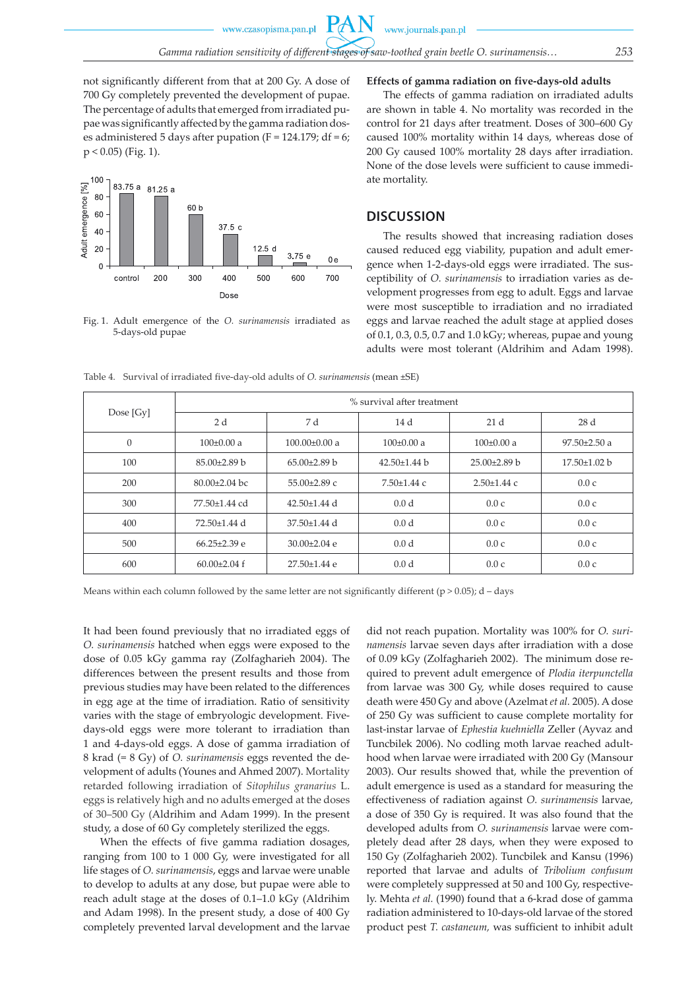$P\mathcal{A}$ 

not significantly different from that at 200 Gy. A dose of 700 Gy completely prevented the development of pupae. The percentage of adults that emerged from irradiated pupae was significantly affected by the gamma radiation doses administered 5 days after pupation ( $F = 124.179$ ; df = 6;  $p < 0.05$ ) (Fig. 1).

#### $\frac{1}{2}$ <br>Adult emergence  $\frac{1}{2}$ <br>20<br>20 83 75 a 81 25 a 60 b 60  $37.5c$  $12.5c$  $3.75 e$  $0e$  $\Omega$ 300 200 400 500 700 control 600 Dose

Fig. 1. Adult emergence of the *O. surinamensis* irradiated as 5-days-old pupae

### **Effects of gamma radiation on five-days-old adults**

The effects of gamma radiation on irradiated adults are shown in table 4. No mortality was recorded in the control for 21 days after treatment. Doses of 300–600 Gy caused 100% mortality within 14 days, whereas dose of 200 Gy caused 100% mortality 28 days after irradiation. None of the dose levels were sufficient to cause immediate mortality.

### **DISCUSSION**

www.journals.pan.pl

The results showed that increasing radiation doses caused reduced egg viability, pupation and adult emergence when 1-2-days-old eggs were irradiated. The susceptibility of *O. surinamensis* to irradiation varies as development progresses from egg to adult. Eggs and larvae were most susceptible to irradiation and no irradiated eggs and larvae reached the adult stage at applied doses of 0.1, 0.3, 0.5, 0.7 and 1.0 kGy; whereas, pupae and young adults were most tolerant (Aldrihim and Adam 1998).

| Dose $[Gy]$  | % survival after treatment |                    |                    |                   |                    |  |
|--------------|----------------------------|--------------------|--------------------|-------------------|--------------------|--|
|              | 2 d                        | 7 d                | 14 d               | 21d               | 28 d               |  |
| $\mathbf{0}$ | $100\pm0.00$ a             | $100.00\pm0.00$ a  | $100\pm0.00$ a     | $100\pm0.00$ a    | $97.50 \pm 2.50$ a |  |
| 100          | $85.00\pm2.89$ b           | $65.00\pm2.89$ b   | $42.50 \pm 1.44$ b | $25.00\pm2.89$ b  | $17.50 \pm 1.02$ b |  |
| 200          | $80.00\pm2.04$ bc          | $55.00\pm2.89$ c   | $7.50 \pm 1.44$ c  | $2.50 \pm 1.44$ c | 0.0c               |  |
| 300          | 77.50±1.44 cd              | $42.50 \pm 1.44$ d | 0.0 <sub>d</sub>   | 0.0c              | 0.0c               |  |
| 400          | 72.50±1.44 d               | $37.50 \pm 1.44$ d | 0.0 <sub>d</sub>   | 0.0c              | 0.0c               |  |
| 500          | $66.25 \pm 2.39$ e         | $30.00 \pm 2.04$ e | 0.0 <sub>d</sub>   | 0.0c              | 0.0c               |  |
| 600          | $60.00 \pm 2.04$ f         | 27.50±1.44 e       | 0.0 <sub>d</sub>   | 0.0c              | 0.0c               |  |

Table 4. Survival of irradiated five-day-old adults of *O. surinamensis* (mean ±SE)

Means within each column followed by the same letter are not significantly different ( $p > 0.05$ ); d - days

It had been found previously that no irradiated eggs of *O. surinamensis* hatched when eggs were exposed to the dose of 0.05 kGy gamma ray (Zolfagharieh 2004). The differences between the present results and those from previous studies may have been related to the differences in egg age at the time of irradiation. Ratio of sensitivity varies with the stage of embryologic development. Fivedays-old eggs were more tolerant to irradiation than 1 and 4-days-old eggs. A dose of gamma irradiation of 8 krad (= 8 Gy) of *O. surinamensis* eggs revented the development of adults (Younes and Ahmed 2007). Mortality retarded following irradiation of *Sitophilus granarius* L. eggs is relatively high and no adults emerged at the doses of 30–500 Gy (Aldrihim and Adam 1999). In the present study, a dose of 60 Gy completely sterilized the eggs.

When the effects of five gamma radiation dosages, ranging from 100 to 1 000 Gy, were investigated for all life stages of *O. surinamensis*, eggs and larvae were unable to develop to adults at any dose, but pupae were able to reach adult stage at the doses of 0.1–1.0 kGy (Aldrihim and Adam 1998). In the present study, a dose of 400 Gy completely prevented larval development and the larvae did not reach pupation. Mortality was 100% for *O. surinamensis* larvae seven days after irradiation with a dose of 0.09 kGy (Zolfagharieh 2002). The minimum dose required to prevent adult emergence of *Plodia iterpunctella* from larvae was 300 Gy, while doses required to cause death were 450 Gy and above (Azelmat *et al.* 2005). A dose of 250 Gy was sufficient to cause complete mortality for last-instar larvae of *Ephestia kuehniella* Zeller (Ayvaz and Tuncbilek 2006). No codling moth larvae reached adulthood when larvae were irradiated with 200 Gy (Mansour 2003). Our results showed that, while the prevention of adult emergence is used as a standard for measuring the effectiveness of radiation against *O. surinamensis* larvae, a dose of 350 Gy is required. It was also found that the developed adults from *O. surinamensis* larvae were completely dead after 28 days, when they were exposed to 150 Gy (Zolfagharieh 2002). Tuncbilek and Kansu (1996) reported that larvae and adults of *Tribolium confusum* were completely suppressed at 50 and 100 Gy, respectively. Mehta *et al.* (1990) found that a 6-krad dose of gamma radiation administered to 10-days-old larvae of the stored product pest *T. castaneum,* was sufficient to inhibit adult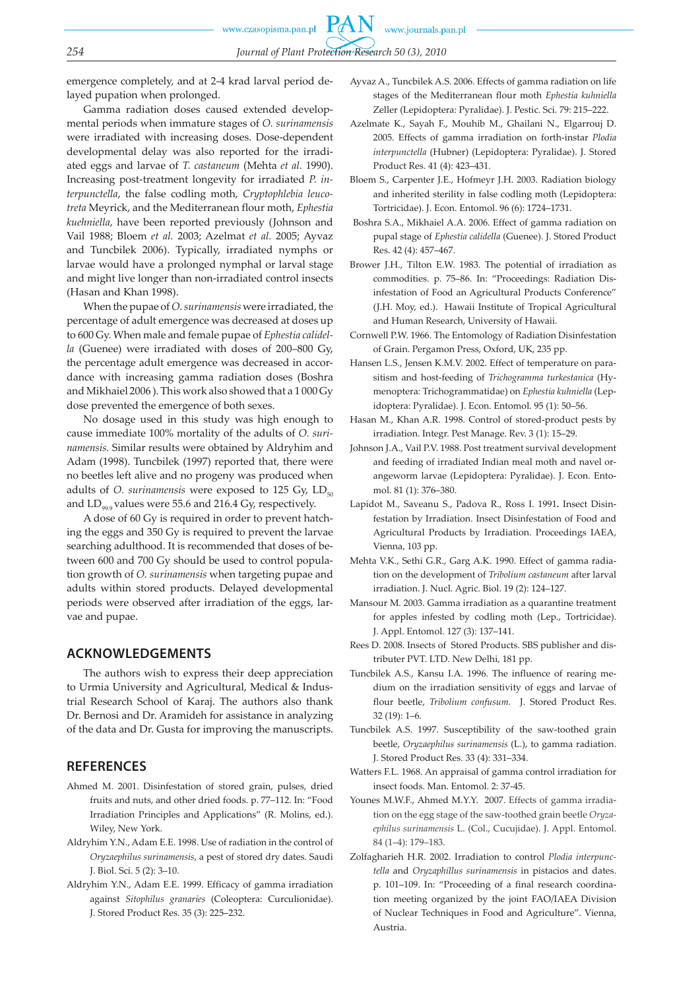www.journals.pan.pl

*254 Journal of Plant Protection Research 50 (3), 2010*

emergence completely, and at 2-4 krad larval period delayed pupation when prolonged.

Gamma radiation doses caused extended developmental periods when immature stages of *O. surinamensis*  were irradiated with increasing doses. Dose-dependent developmental delay was also reported for the irradiated eggs and larvae of *T. castaneum* (Mehta *et al.* 1990). Increasing post-treatment longevity for irradiated *P. interpunctella*, the false codling moth, *Cryptophlebia leucotreta* Meyrick, and the Mediterranean flour moth, *Ephestia kuehniella*, have been reported previously (Johnson and Vail 1988; Bloem *et al.* 2003; Azelmat *et al.* 2005; Ayvaz and Tuncbilek 2006). Typically, irradiated nymphs or larvae would have a prolonged nymphal or larval stage and might live longer than non-irradiated control insects (Hasan and Khan 1998).

When the pupae of *O. surinamensis* were irradiated, the percentage of adult emergence was decreased at doses up to 600 Gy. When male and female pupae of *Ephestia calidella* (Guenee) were irradiated with doses of 200–800 Gy, the percentage adult emergence was decreased in accordance with increasing gamma radiation doses (Boshra and Mikhaiel 2006 ). This work also showed that a 1 000 Gy dose prevented the emergence of both sexes.

No dosage used in this study was high enough to cause immediate 100% mortality of the adults of *O. surinamensis.* Similar results were obtained by Aldryhim and Adam (1998). Tuncbilek (1997) reported that, there were no beetles left alive and no progeny was produced when adults of *O. surinamensis* were exposed to 125 Gy,  $LD_{50}$ and  $LD_{\alpha\alpha}$  values were 55.6 and 216.4 Gy, respectively.

A dose of 60 Gy is required in order to prevent hatching the eggs and 350 Gy is required to prevent the larvae searching adulthood. It is recommended that doses of between 600 and 700 Gy should be used to control population growth of *O. surinamensis* when targeting pupae and adults within stored products. Delayed developmental periods were observed after irradiation of the eggs, larvae and pupae.

### **ACKNOWLEDGEMENTS**

The authors wish to express their deep appreciation to Urmia University and Agricultural, Medical & Industrial Research School of Karaj. The authors also thank Dr. Bernosi and Dr. Aramideh for assistance in analyzing of the data and Dr. Gusta for improving the manuscripts.

### **REFERENCES**

- Ahmed M. 2001. Disinfestation of stored grain, pulses, dried fruits and nuts, and other dried foods. p. 77–112. In: "Food Irradiation Principles and Applications" (R. Molins, ed.). Wiley, New York.
- Aldryhim Y.N., Adam E.E. 1998. Use of radiation in the control of *Oryzaephilus surinamensis*, a pest of stored dry dates. Saudi J. Biol. Sci. 5 (2): 3–10.
- Aldryhim Y.N., Adam E.E. 1999. Efficacy of gamma irradiation against *Sitophilus granaries* (Coleoptera: Curculionidae). J. Stored Product Res. 35 (3): 225–232.
- Ayvaz A., Tuncbilek A.S. 2006. Effects of gamma radiation on life stages of the Mediterranean flour moth *Ephestia kuhniella* Zeller (Lepidoptera: Pyralidae). J. Pestic. Sci. 79: 215–222.
- Azelmate K., Sayah F., Mouhib M., Ghailani N., Elgarrouj D. 2005. Effects of gamma irradiation on forth-instar *Plodia interpunctella* (Hubner) (Lepidoptera: Pyralidae). J. Stored Product Res. 41 (4): 423–431.
- Bloem S., Carpenter J.E., Hofmeyr J.H. 2003. Radiation biology and inherited sterility in false codling moth (Lepidoptera: Tortricidae). J. Econ. Entomol. 96 (6): 1724–1731.
- Boshra S.A., Mikhaiel A.A. 2006. Effect of gamma radiation on pupal stage of *Ephestia calidella* (Guenee). J. Stored Product Res. 42 (4): 457–467.
- Brower J.H., Tilton E.W. 1983. The potential of irradiation as commodities. p. 75–86. In: "Proceedings: Radiation Disinfestation of Food an Agricultural Products Conference" (J.H. Moy, ed.). Hawaii Institute of Tropical Agricultural and Human Research, University of Hawaii.
- Cornwell P.W. 1966. The Entomology of Radiation Disinfestation of Grain. Pergamon Press, Oxford, UK, 235 pp.
- Hansen L.S., Jensen K.M.V. 2002. Effect of temperature on parasitism and host-feeding of *Trichogramma turkestanica* (Hymenoptera: Trichogrammatidae) on *Ephestia kuhniella* (Lepidoptera: Pyralidae). J. Econ. Entomol. 95 (1): 50–56.
- Hasan M., Khan A.R. 1998. Control of stored-product pests by irradiation. Integr. Pest Manage. Rev. 3 (1): 15–29.
- Johnson J.A., Vail P.V. 1988. Post treatment survival development and feeding of irradiated Indian meal moth and navel orangeworm larvae (Lepidoptera: Pyralidae). J. Econ. Entomol. 81 (1): 376–380.
- Lapidot M., Saveanu S., Padova R., Ross I. 1991**.** Insect Disinfestation by Irradiation. Insect Disinfestation of Food and Agricultural Products by Irradiation. Proceedings IAEA, Vienna, 103 pp.
- Mehta V.K., Sethi G.R., Garg A.K. 1990. Effect of gamma radiation on the development of *Tribolium castaneum* after larval irradiation. J. Nucl. Agric. Biol. 19 (2): 124–127.
- Mansour M. 2003. Gamma irradiation as a quarantine treatment for apples infested by codling moth (Lep., Tortricidae). J. Appl. Entomol. 127 (3): 137–141.
- Rees D. 2008. Insects of Stored Products. SBS publisher and distributer PVT. LTD. New Delhi, 181 pp.
- Tuncbilek A.S., Kansu I.A. 1996. The influence of rearing medium on the irradiation sensitivity of eggs and larvae of flour beetle, *Tribolium confusum.* J. Stored Product Res. 32 (19): 1–6.
- Tuncbilek A.S. 1997. Susceptibility of the saw-toothed grain beetle, *Oryzaephilus surinamensis* (L.), to gamma radiation. J. Stored Product Res. 33 (4): 331–334.
- Watters F.L. 1968. An appraisal of gamma control irradiation for insect foods. Man. Entomol. 2: 37-45.
- Younes M.W.F., Ahmed M.Y.Y. 2007. Effects of gamma irradiation on the egg stage of the saw-toothed grain beetle *Oryzaephilus surinamensis* L. (Col., Cucujidae). J. Appl. Entomol. 84 (1–4): 179–183.
- Zolfagharieh H.R. 2002. Irradiation to control *Plodia interpuncw tella* and *Oryzaphillus surinamensis* in pistacios and dates. p. 101–109. In: "Proceeding of a final research coordination meeting organized by the joint FAO/IAEA Division of Nuclear Techniques in Food and Agriculture". Vienna, Austria.